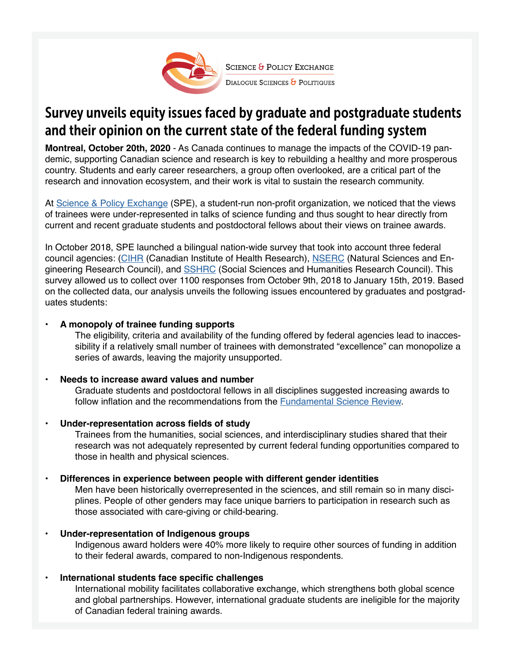

SCIENCE & POLICY EXCHANGE DIALOGUE SCIENCES & POLITIQUES

# Survey unveils equity issues faced by graduate and postgraduate students and their opinion on the current state of the federal funding system

**Montreal, October 20th, 2020** - As Canada continues to manage the impacts of the COVID-19 pandemic, supporting Canadian science and research is key to rebuilding a healthy and more prosperous country. Students and early career researchers, a group often overlooked, are a critical part of the research and innovation ecosystem, and their work is vital to sustain the research community.

At [Science & Policy Exchange](https://www.sp-exchange.ca/) (SPE), a student-run non-profit organization, we noticed that the views of trainees were under-represented in talks of science funding and thus sought to hear directly from current and recent graduate students and postdoctoral fellows about their views on trainee awards.

In October 2018, SPE launched a bilingual nation-wide survey that took into account three federal council agencies: ([CIHR](https://cihr-irsc.gc.ca/e/193.html) (Canadian Institute of Health Research), [NSERC](https://www.nserc-crsng.gc.ca/index_eng.asp) (Natural Sciences and Engineering Research Council), and [SSHRC](https://www.sshrc-crsh.gc.ca/home-accueil-eng.aspx) (Social Sciences and Humanities Research Council). This survey allowed us to collect over 1100 responses from October 9th, 2018 to January 15th, 2019. Based on the collected data, our analysis unveils the following issues encountered by graduates and postgraduates students:

### **• A monopoly of trainee funding supports**

The eligibility, criteria and availability of the funding offered by federal agencies lead to inaccessibility if a relatively small number of trainees with demonstrated "excellence" can monopolize a series of awards, leaving the majority unsupported.

#### **• Needs to increase award values and number**

Graduate students and postdoctoral fellows in all disciplines suggested increasing awards to follow infation and the recommendations from the [Fundamental Science Review.](http://www.sciencereview.ca/eic/site/059.nsf/eng/home)

#### **• Under-representation across felds of study**

Trainees from the humanities, social sciences, and interdisciplinary studies shared that their research was not adequately represented by current federal funding opportunities compared to those in health and physical sciences.

#### **• Differences in experience between people with different gender identities**

Men have been historically overrepresented in the sciences, and still remain so in many disciplines. People of other genders may face unique barriers to participation in research such as those associated with care-giving or child-bearing.

#### **• Under-representation of Indigenous groups**

Indigenous award holders were 40% more likely to require other sources of funding in addition to their federal awards, compared to non-Indigenous respondents.

#### **International students face specific challenges**

International mobility facilitates collaborative exchange, which strengthens both global scence and global partnerships. However, international graduate students are ineligible for the majority of Canadian federal training awards.